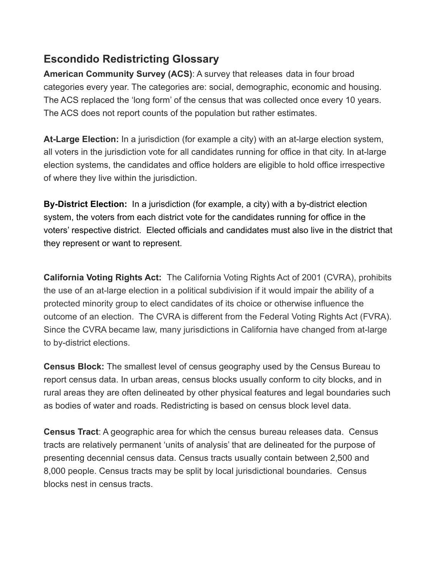## **Escondido Redistricting Glossary**

**American Community Survey (ACS)**: A survey that releases data in four broad categories every year. The categories are: social, demographic, economic and housing. The ACS replaced the 'long form' of the census that was collected once every 10 years. The ACS does not report counts of the population but rather estimates.

**At-Large Election:** In a jurisdiction (for example a city) with an at-large election system, all voters in the jurisdiction vote for all candidates running for office in that city. In at-large election systems, the candidates and office holders are eligible to hold office irrespective of where they live within the jurisdiction.

**By-District Election:** In a jurisdiction (for example, a city) with a by-district election system, the voters from each district vote for the candidates running for office in the voters' respective district. Elected officials and candidates must also live in the district that they represent or want to represent.

**California Voting Rights Act:** The California Voting Rights Act of 2001 (CVRA), prohibits the use of an at-large election in a political subdivision if it would impair the ability of a protected minority group to elect candidates of its choice or otherwise influence the outcome of an election. The CVRA is different from the Federal Voting Rights Act (FVRA). Since the CVRA became law, many jurisdictions in California have changed from at-large to by-district elections.

**Census Block:** The smallest level of census geography used by the Census Bureau to report census data. In urban areas, census blocks usually conform to city blocks, and in rural areas they are often delineated by other physical features and legal boundaries such as bodies of water and roads. Redistricting is based on census block level data.

**Census Tract**: A geographic area for which the census bureau releases data. Census tracts are relatively permanent 'units of analysis' that are delineated for the purpose of presenting decennial census data. Census tracts usually contain between 2,500 and 8,000 people. Census tracts may be split by local jurisdictional boundaries. Census blocks nest in census tracts.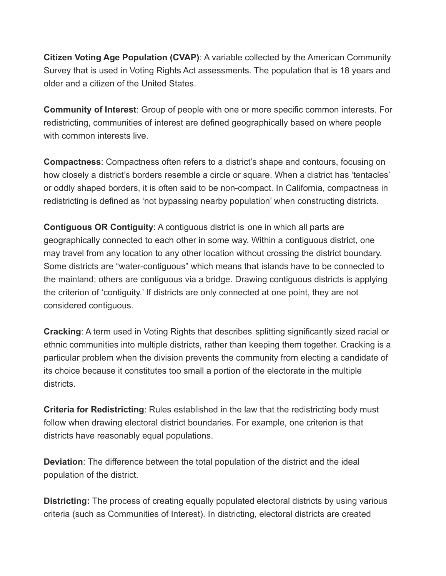**Citizen Voting Age Population (CVAP)**: A variable collected by the American Community Survey that is used in Voting Rights Act assessments. The population that is 18 years and older and a citizen of the United States.

**Community of Interest**: Group of people with one or more specific common interests. For redistricting, communities of interest are defined geographically based on where people with common interests live.

**Compactness**: Compactness often refers to a district's shape and contours, focusing on how closely a district's borders resemble a circle or square. When a district has 'tentacles' or oddly shaped borders, it is often said to be non-compact. In California, compactness in redistricting is defined as 'not bypassing nearby population' when constructing districts.

**Contiguous OR Contiguity**: A contiguous district is one in which all parts are geographically connected to each other in some way. Within a contiguous district, one may travel from any location to any other location without crossing the district boundary. Some districts are "water-contiguous" which means that islands have to be connected to the mainland; others are contiguous via a bridge. Drawing contiguous districts is applying the criterion of 'contiguity.' If districts are only connected at one point, they are not considered contiguous.

**Cracking**: A term used in Voting Rights that describes splitting significantly sized racial or ethnic communities into multiple districts, rather than keeping them together. Cracking is a particular problem when the division prevents the community from electing a candidate of its choice because it constitutes too small a portion of the electorate in the multiple districts.

**Criteria for Redistricting**: Rules established in the law that the redistricting body must follow when drawing electoral district boundaries. For example, one criterion is that districts have reasonably equal populations.

**Deviation**: The difference between the total population of the district and the ideal population of the district.

**Districting:** The process of creating equally populated electoral districts by using various criteria (such as Communities of Interest). In districting, electoral districts are created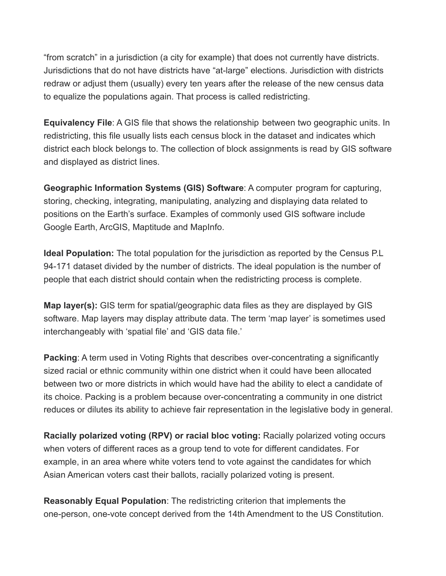"from scratch" in a jurisdiction (a city for example) that does not currently have districts. Jurisdictions that do not have districts have "at-large" elections. Jurisdiction with districts redraw or adjust them (usually) every ten years after the release of the new census data to equalize the populations again. That process is called redistricting.

**Equivalency File**: A GIS file that shows the relationship between two geographic units. In redistricting, this file usually lists each census block in the dataset and indicates which district each block belongs to. The collection of block assignments is read by GIS software and displayed as district lines.

**Geographic Information Systems (GIS) Software**: A computer program for capturing, storing, checking, integrating, manipulating, analyzing and displaying data related to positions on the Earth's surface. Examples of commonly used GIS software include Google Earth, ArcGIS, Maptitude and MapInfo.

**Ideal Population:** The total population for the jurisdiction as reported by the Census P.L 94-171 dataset divided by the number of districts. The ideal population is the number of people that each district should contain when the redistricting process is complete.

**Map layer(s):** GIS term for spatial/geographic data files as they are displayed by GIS software. Map layers may display attribute data. The term 'map layer' is sometimes used interchangeably with 'spatial file' and 'GIS data file.'

**Packing:** A term used in Voting Rights that describes over-concentrating a significantly sized racial or ethnic community within one district when it could have been allocated between two or more districts in which would have had the ability to elect a candidate of its choice. Packing is a problem because over-concentrating a community in one district reduces or dilutes its ability to achieve fair representation in the legislative body in general.

**Racially polarized voting (RPV) or racial bloc voting:** Racially polarized voting occurs when voters of different races as a group tend to vote for different candidates. For example, in an area where white voters tend to vote against the candidates for which Asian American voters cast their ballots, racially polarized voting is present.

**Reasonably Equal Population**: The redistricting criterion that implements the one-person, one-vote concept derived from the 14th Amendment to the US Constitution.